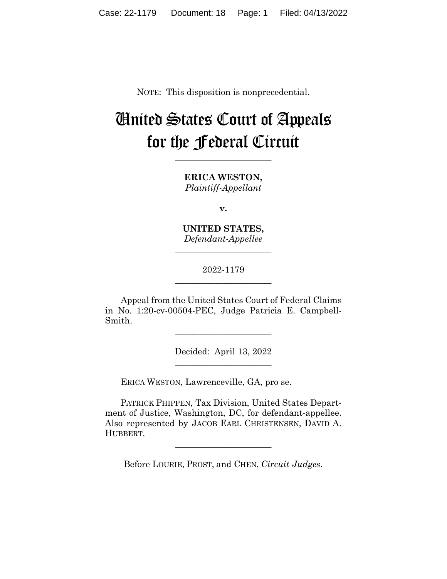NOTE: This disposition is nonprecedential.

# United States Court of Appeals for the Federal Circuit

**\_\_\_\_\_\_\_\_\_\_\_\_\_\_\_\_\_\_\_\_\_\_** 

**ERICA WESTON,** *Plaintiff-Appellant*

**v.**

**UNITED STATES,** *Defendant-Appellee*

**\_\_\_\_\_\_\_\_\_\_\_\_\_\_\_\_\_\_\_\_\_\_** 

2022-1179 **\_\_\_\_\_\_\_\_\_\_\_\_\_\_\_\_\_\_\_\_\_\_** 

Appeal from the United States Court of Federal Claims in No. 1:20-cv-00504-PEC, Judge Patricia E. Campbell-Smith.

> Decided: April 13, 2022 \_\_\_\_\_\_\_\_\_\_\_\_\_\_\_\_\_\_\_\_\_\_

\_\_\_\_\_\_\_\_\_\_\_\_\_\_\_\_\_\_\_\_\_\_

ERICA WESTON, Lawrenceville, GA, pro se.

 PATRICK PHIPPEN, Tax Division, United States Department of Justice, Washington, DC, for defendant-appellee. Also represented by JACOB EARL CHRISTENSEN, DAVID A. HUBBERT.

Before LOURIE, PROST, and CHEN, *Circuit Judges*.

 $\overline{\phantom{a}}$  , where  $\overline{\phantom{a}}$  , where  $\overline{\phantom{a}}$  , where  $\overline{\phantom{a}}$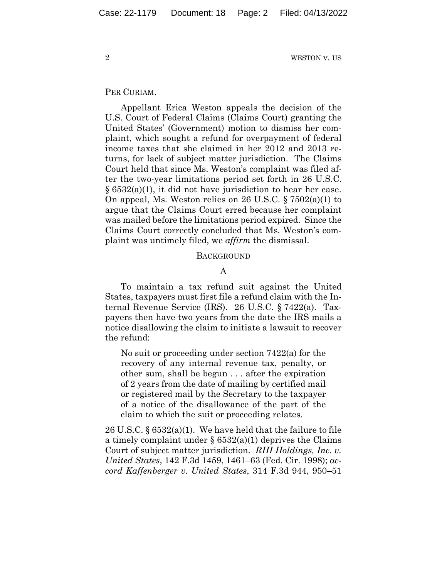#### PER CURIAM.

Appellant Erica Weston appeals the decision of the U.S. Court of Federal Claims (Claims Court) granting the United States' (Government) motion to dismiss her complaint, which sought a refund for overpayment of federal income taxes that she claimed in her 2012 and 2013 returns, for lack of subject matter jurisdiction. The Claims Court held that since Ms. Weston's complaint was filed after the two-year limitations period set forth in 26 U.S.C. § 6532(a)(1), it did not have jurisdiction to hear her case. On appeal, Ms. Weston relies on 26 U.S.C. § 7502(a)(1) to argue that the Claims Court erred because her complaint was mailed before the limitations period expired. Since the Claims Court correctly concluded that Ms. Weston's complaint was untimely filed, we *affirm* the dismissal.

#### **BACKGROUND**

## A

To maintain a tax refund suit against the United States, taxpayers must first file a refund claim with the Internal Revenue Service (IRS). 26 U.S.C. § 7422(a). Taxpayers then have two years from the date the IRS mails a notice disallowing the claim to initiate a lawsuit to recover the refund:

No suit or proceeding under section 7422(a) for the recovery of any internal revenue tax, penalty, or other sum, shall be begun . . . after the expiration of 2 years from the date of mailing by certified mail or registered mail by the Secretary to the taxpayer of a notice of the disallowance of the part of the claim to which the suit or proceeding relates.

26 U.S.C. § 6532(a)(1). We have held that the failure to file a timely complaint under  $\S 6532(a)(1)$  deprives the Claims Court of subject matter jurisdiction. *RHI Holdings, Inc. v. United States*, 142 F.3d 1459, 1461–63 (Fed. Cir. 1998); *accord Kaffenberger v. United States*, 314 F.3d 944, 950–51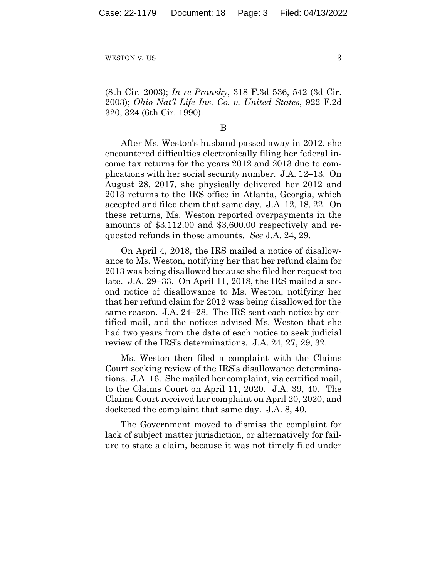(8th Cir. 2003); *In re Pransky*, 318 F.3d 536, 542 (3d Cir. 2003); *Ohio Nat'l Life Ins. Co. v. United States*, 922 F.2d 320, 324 (6th Cir. 1990).

#### B

After Ms. Weston's husband passed away in 2012, she encountered difficulties electronically filing her federal income tax returns for the years 2012 and 2013 due to complications with her social security number. J.A. 12–13. On August 28, 2017, she physically delivered her 2012 and 2013 returns to the IRS office in Atlanta, Georgia, which accepted and filed them that same day. J.A. 12, 18, 22. On these returns, Ms. Weston reported overpayments in the amounts of \$3,112.00 and \$3,600.00 respectively and requested refunds in those amounts. *See* J.A. 24, 29.

On April 4, 2018, the IRS mailed a notice of disallowance to Ms. Weston, notifying her that her refund claim for 2013 was being disallowed because she filed her request too late. J.A. 29−33. On April 11, 2018, the IRS mailed a second notice of disallowance to Ms. Weston, notifying her that her refund claim for 2012 was being disallowed for the same reason. J.A. 24−28. The IRS sent each notice by certified mail, and the notices advised Ms. Weston that she had two years from the date of each notice to seek judicial review of the IRS's determinations. J.A. 24, 27, 29, 32.

Ms. Weston then filed a complaint with the Claims Court seeking review of the IRS's disallowance determinations. J.A. 16. She mailed her complaint, via certified mail, to the Claims Court on April 11, 2020. J.A. 39, 40. The Claims Court received her complaint on April 20, 2020, and docketed the complaint that same day. J.A. 8, 40.

The Government moved to dismiss the complaint for lack of subject matter jurisdiction, or alternatively for failure to state a claim, because it was not timely filed under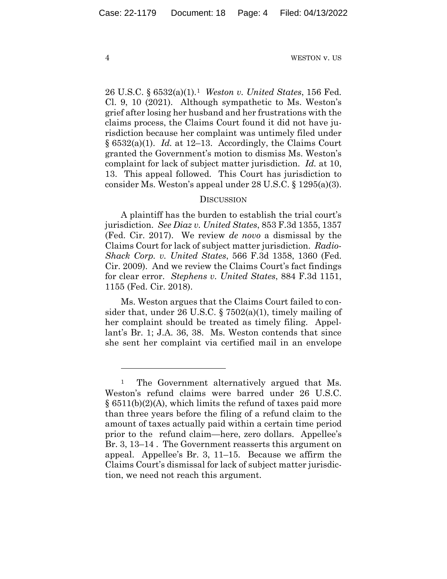26 U.S.C. § 6532(a)(1).1 *Weston v. United States*, 156 Fed. Cl. 9, 10 (2021). Although sympathetic to Ms. Weston's grief after losing her husband and her frustrations with the claims process, the Claims Court found it did not have jurisdiction because her complaint was untimely filed under § 6532(a)(1). *Id.* at 12–13. Accordingly, the Claims Court granted the Government's motion to dismiss Ms. Weston's complaint for lack of subject matter jurisdiction. *Id.* at 10, 13. This appeal followed. This Court has jurisdiction to consider Ms. Weston's appeal under 28 U.S.C. § 1295(a)(3).

### **DISCUSSION**

A plaintiff has the burden to establish the trial court's jurisdiction. *See Diaz v. United States*, 853 F.3d 1355, 1357 (Fed. Cir. 2017). We review *de novo* a dismissal by the Claims Court for lack of subject matter jurisdiction. *Radio-Shack Corp. v. United States*, 566 F.3d 1358, 1360 (Fed. Cir. 2009). And we review the Claims Court's fact findings for clear error. *Stephens v. United States*, 884 F.3d 1151, 1155 (Fed. Cir. 2018).

Ms. Weston argues that the Claims Court failed to consider that, under 26 U.S.C. § 7502(a)(1), timely mailing of her complaint should be treated as timely filing. Appellant's Br. 1; J.A. 36, 38. Ms. Weston contends that since she sent her complaint via certified mail in an envelope

<sup>&</sup>lt;sup>1</sup> The Government alternatively argued that Ms. Weston's refund claims were barred under 26 U.S.C.  $\S$  6511(b)(2)(A), which limits the refund of taxes paid more than three years before the filing of a refund claim to the amount of taxes actually paid within a certain time period prior to the refund claim—here, zero dollars. Appellee's Br. 3, 13–14 . The Government reasserts this argument on appeal. Appellee's Br. 3, 11–15. Because we affirm the Claims Court's dismissal for lack of subject matter jurisdiction, we need not reach this argument.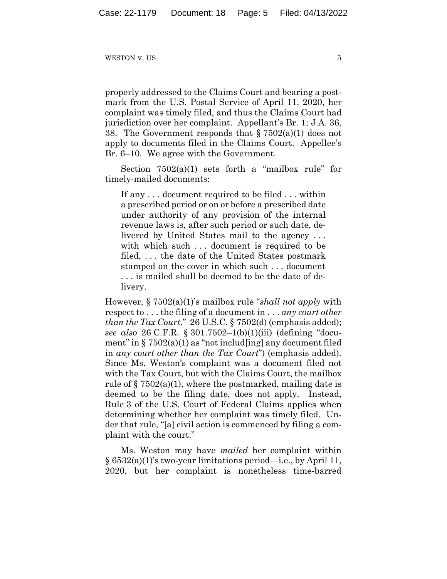WESTON  $\bf{v}$ . US 5

properly addressed to the Claims Court and bearing a postmark from the U.S. Postal Service of April 11, 2020, her complaint was timely filed, and thus the Claims Court had jurisdiction over her complaint. Appellant's Br. 1; J.A. 36, 38. The Government responds that  $\S 7502(a)(1)$  does not apply to documents filed in the Claims Court. Appellee's Br. 6–10. We agree with the Government.

Section  $7502(a)(1)$  sets forth a "mailbox rule" for timely-mailed documents:

If any . . . document required to be filed . . . within a prescribed period or on or before a prescribed date under authority of any provision of the internal revenue laws is, after such period or such date, delivered by United States mail to the agency . . . with which such ... document is required to be filed, . . . the date of the United States postmark stamped on the cover in which such . . . document . . . is mailed shall be deemed to be the date of delivery.

However, § 7502(a)(1)'s mailbox rule "*shall not apply* with respect to . . . the filing of a document in . . . *any court other than the Tax Court*." 26 U.S.C. § 7502(d) (emphasis added); *see also* 26 C.F.R. § 301.7502–1(b)(1)(iii) (defining "document" in  $\S 7502(a)(1)$  as "not includ [ing] any document filed in *any court other than the Tax Court*") (emphasis added). Since Ms. Weston's complaint was a document filed not with the Tax Court, but with the Claims Court, the mailbox rule of  $\S 7502(a)(1)$ , where the postmarked, mailing date is deemed to be the filing date, does not apply. Instead, Rule 3 of the U.S. Court of Federal Claims applies when determining whether her complaint was timely filed. Under that rule, "[a] civil action is commenced by filing a complaint with the court."

Ms. Weston may have *mailed* her complaint within  $\S 6532(a)(1)$ 's two-year limitations period—i.e., by April 11, 2020, but her complaint is nonetheless time-barred